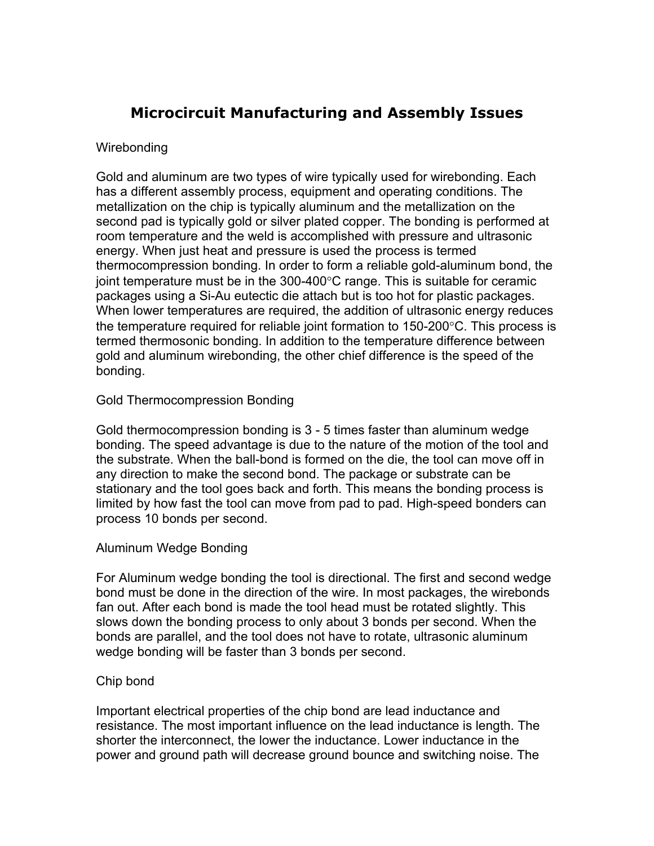# **Microcircuit Manufacturing and Assembly Issues**

#### **Wirebonding**

Gold and aluminum are two types of wire typically used for wirebonding. Each has a different assembly process, equipment and operating conditions. The metallization on the chip is typically aluminum and the metallization on the second pad is typically gold or silver plated copper. The bonding is performed at room temperature and the weld is accomplished with pressure and ultrasonic energy. When just heat and pressure is used the process is termed thermocompression bonding. In order to form a reliable gold-aluminum bond, the joint temperature must be in the 300-400°C range. This is suitable for ceramic packages using a Si-Au eutectic die attach but is too hot for plastic packages. When lower temperatures are required, the addition of ultrasonic energy reduces the temperature required for reliable joint formation to 150-200°C. This process is termed thermosonic bonding. In addition to the temperature difference between gold and aluminum wirebonding, the other chief difference is the speed of the bonding.

## Gold Thermocompression Bonding

Gold thermocompression bonding is 3 - 5 times faster than aluminum wedge bonding. The speed advantage is due to the nature of the motion of the tool and the substrate. When the ball-bond is formed on the die, the tool can move off in any direction to make the second bond. The package or substrate can be stationary and the tool goes back and forth. This means the bonding process is limited by how fast the tool can move from pad to pad. High-speed bonders can process 10 bonds per second.

#### Aluminum Wedge Bonding

For Aluminum wedge bonding the tool is directional. The first and second wedge bond must be done in the direction of the wire. In most packages, the wirebonds fan out. After each bond is made the tool head must be rotated slightly. This slows down the bonding process to only about 3 bonds per second. When the bonds are parallel, and the tool does not have to rotate, ultrasonic aluminum wedge bonding will be faster than 3 bonds per second.

#### Chip bond

Important electrical properties of the chip bond are lead inductance and resistance. The most important influence on the lead inductance is length. The shorter the interconnect, the lower the inductance. Lower inductance in the power and ground path will decrease ground bounce and switching noise. The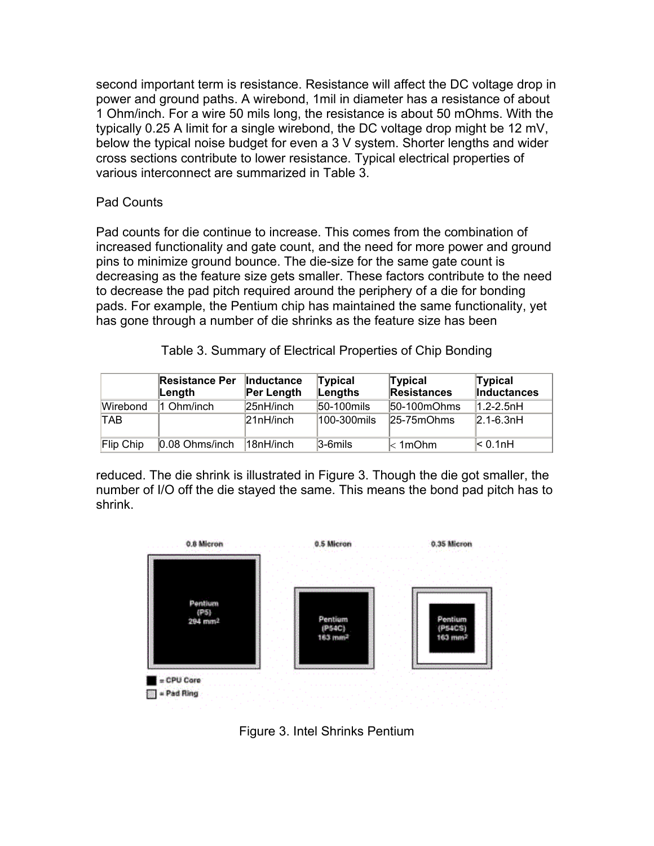second important term is resistance. Resistance will affect the DC voltage drop in power and ground paths. A wirebond, 1mil in diameter has a resistance of about 1 Ohm/inch. For a wire 50 mils long, the resistance is about 50 mOhms. With the typically 0.25 A limit for a single wirebond, the DC voltage drop might be 12 mV, below the typical noise budget for even a 3 V system. Shorter lengths and wider cross sections contribute to lower resistance. Typical electrical properties of various interconnect are summarized in Table 3.

# Pad Counts

Pad counts for die continue to increase. This comes from the combination of increased functionality and gate count, and the need for more power and ground pins to minimize ground bounce. The die-size for the same gate count is decreasing as the feature size gets smaller. These factors contribute to the need to decrease the pad pitch required around the periphery of a die for bonding pads. For example, the Pentium chip has maintained the same functionality, yet has gone through a number of die shrinks as the feature size has been

|           | <b>Resistance Per</b><br>∣Length | <b>Inductance</b><br>Per Length | Typical<br>Lengths | Typical<br><b>Resistances</b> | <b>Typical</b><br><b>Inductances</b> |
|-----------|----------------------------------|---------------------------------|--------------------|-------------------------------|--------------------------------------|
| Wirebond  | 1 Ohm/inch                       | 25nH/inch                       | 50-100 mils        | $ 50-100$ m $Ohms$            | $1.2 - 2.5$ nH                       |
| TAB       |                                  | 21nH/inch                       | 100-300mils        | $25 - 75 \text{mOhms}$        | $2.1 - 6.3nH$                        |
| Flip Chip | $0.08$ Ohms/inch                 | 18nH/inch                       | $3-6$ mils         | $\mathsf{ }\mathsf{<1mOhm} $  | $\leq 0.1$ nH                        |

reduced. The die shrink is illustrated in Figure 3. Though the die got smaller, the number of I/O off the die stayed the same. This means the bond pad pitch has to shrink.



Figure 3. Intel Shrinks Pentium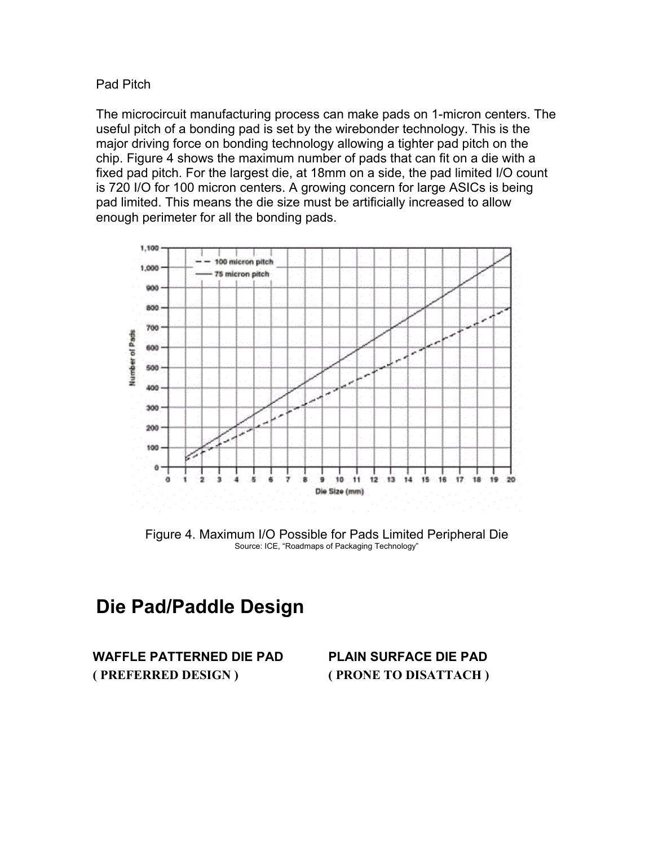## Pad Pitch

The microcircuit manufacturing process can make pads on 1-micron centers. The useful pitch of a bonding pad is set by the wirebonder technology. This is the major driving force on bonding technology allowing a tighter pad pitch on the chip. Figure 4 shows the maximum number of pads that can fit on a die with a fixed pad pitch. For the largest die, at 18mm on a side, the pad limited I/O count is 720 I/O for 100 micron centers. A growing concern for large ASICs is being pad limited. This means the die size must be artificially increased to allow enough perimeter for all the bonding pads.



Figure 4. Maximum I/O Possible for Pads Limited Peripheral Die Source: ICE, "Roadmaps of Packaging Technology"

# **Die Pad/Paddle Design**

**WAFFLE PATTERNED DIE PAD PLAIN SURFACE DIE PAD ( PREFERRED DESIGN ) ( PRONE TO DISATTACH )**